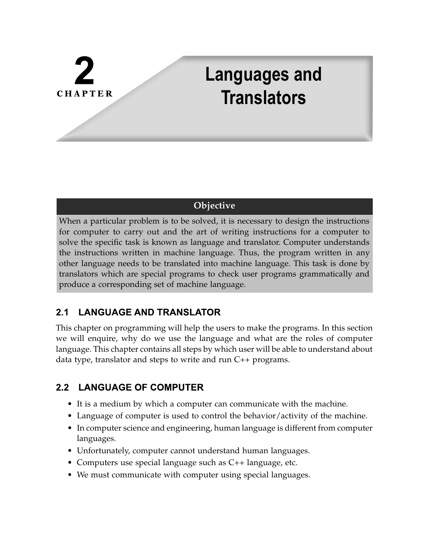# **CHAPTER**

# **Languages and Translators**

# **Objective**

When a particular problem is to be solved, it is necessary to design the instructions for computer to carry out and the art of writing instructions for a computer to solve the specific task is known as language and translator. Computer understands the instructions written in machine language. Thus, the program written in any other language needs to be translated into machine language. This task is done by translators which are special programs to check user programs grammatically and produce a corresponding set of machine language.

#### $2.1$ **LANGUAGE AND TRANSLATOR**

This chapter on programming will help the users to make the programs. In this section we will enquire, why do we use the language and what are the roles of computer language. This chapter contains all steps by which user will be able to understand about data type, translator and steps to write and run C++ programs.

# 2.2 LANGUAGE OF COMPUTER

- It is a medium by which a computer can communicate with the machine.
- Language of computer is used to control the behavior/activity of the machine.
- In computer science and engineering, human language is different from computer languages.
- Unfortunately, computer cannot understand human languages.
- Computers use special language such as C++ language, etc.
- We must communicate with computer using special languages.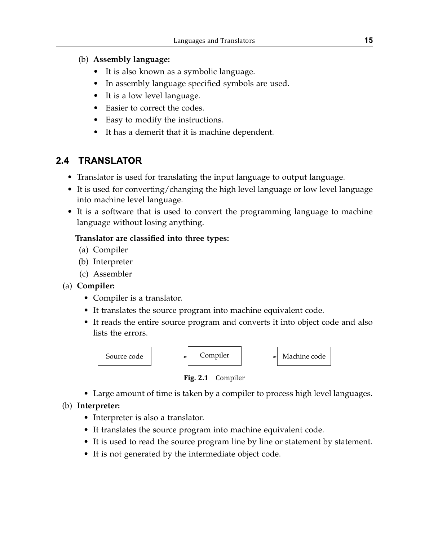# (b) **Assembly language:**

- It is also known as a symbolic language.
- In assembly language specified symbols are used.
- It is a low level language.
- Easier to correct the codes.
- Easy to modify the instructions.
- It has a demerit that it is machine dependent.

#### $2.4$ **TRANSLATOR**

- Translator is used for translating the input language to output language.
- It is used for converting/changing the high level language or low level language into machine level language.
- It is a software that is used to convert the programming language to machine language without losing anything.

# **Translator are classified into three types:**

- (a) Compiler
- (b) Interpreter
- (c) Assembler
- (a) **Compiler:** 
	- Compiler is a translator.
	- It translates the source program into machine equivalent code.
	- It reads the entire source program and converts it into object code and also lists the errors.



**Fig. 2.1** Compiler

• Large amount of time is taken by a compiler to process high level languages.

# (b) **Interpreter:**

- Interpreter is also a translator.
- It translates the source program into machine equivalent code.
- It is used to read the source program line by line or statement by statement.
- It is not generated by the intermediate object code.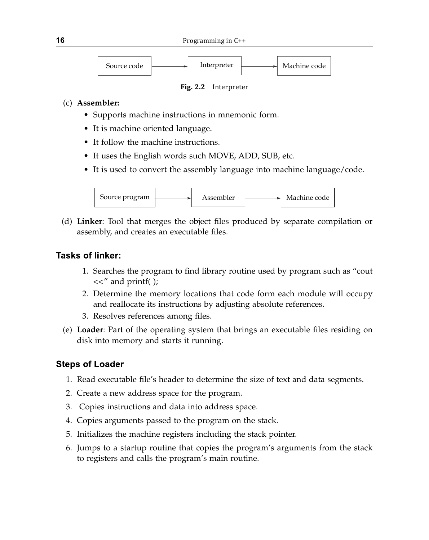**16** Programming in C++



**Fig. 2.2** Interpreter

#### (c) **Assembler:**

- Supports machine instructions in mnemonic form.
- It is machine oriented language.
- It follow the machine instructions.
- It uses the English words such MOVE, ADD, SUB, etc.
- It is used to convert the assembly language into machine language/code.



(d) **Linker**: Tool that merges the object files produced by separate compilation or assembly, and creates an executable files.

#### Tasks of linker:

- 1. Searches the program to find library routine used by program such as "cout  $<<$ " and printf( );
- 2. Determine the memory locations that code form each module will occupy and reallocate its instructions by adjusting absolute references.
- 3. Resolves references among files.
- (e) **Loader**: Part of the operating system that brings an executable files residing on disk into memory and starts it running.

# **Steps of Loader**

- 1. Read executable file's header to determine the size of text and data segments.
- 2. Create a new address space for the program.
- 3. Copies instructions and data into address space.
- 4. Copies arguments passed to the program on the stack.
- 5. Initializes the machine registers including the stack pointer.
- 6. Jumps to a startup routine that copies the program's arguments from the stack to registers and calls the program's main routine.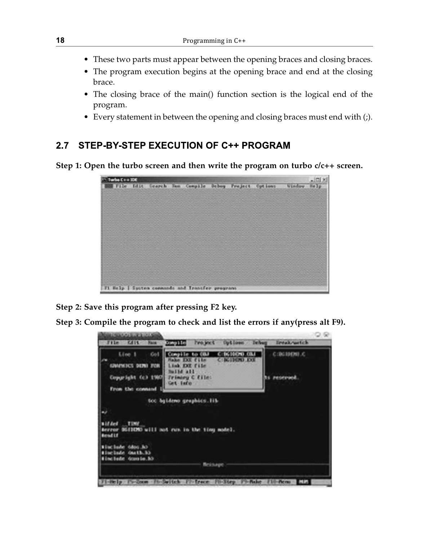- These two parts must appear between the opening braces and closing braces.
- The program execution begins at the opening brace and end at the closing brace.
- The closing brace of the main() function section is the logical end of the program.
- Every statement in between the opening and closing braces must end with (;).

#### **STEP-BY-STEP EXECUTION OF C++ PROGRAM**  $2.7$

**Step 1: Open the turbo screen and then write the program on turbo c/c++ screen.**

| Turbo C++ IDE |                  |              |                                              |  |                 |               |             |
|---------------|------------------|--------------|----------------------------------------------|--|-----------------|---------------|-------------|
|               | File Idit Search | <b>Basic</b> | Compile Debug Project                        |  | <b>Cut iant</b> | <b>Minday</b> | <b>Mark</b> |
|               |                  |              |                                              |  |                 |               |             |
|               |                  |              |                                              |  |                 |               |             |
|               |                  |              |                                              |  |                 |               |             |
|               |                  |              |                                              |  |                 |               |             |
|               |                  |              |                                              |  |                 |               |             |
|               |                  |              |                                              |  |                 |               |             |
|               |                  |              |                                              |  |                 |               |             |
|               |                  |              |                                              |  |                 |               |             |
|               |                  |              |                                              |  |                 |               |             |
|               |                  |              |                                              |  |                 |               |             |
|               |                  |              |                                              |  |                 |               |             |
|               |                  |              |                                              |  |                 |               |             |
|               |                  |              |                                              |  |                 |               |             |
|               |                  |              | Help   System connands and Iransfer programs |  |                 |               |             |

**Step 2: Save this program after pressing F2 key.**

**Step 3: Compile the program to check and list the errors if any(press alt F9).**

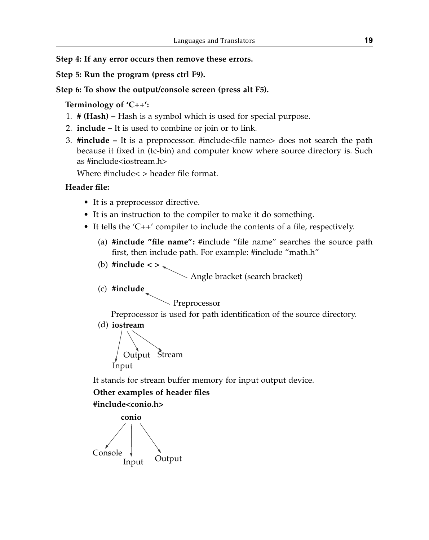**Step 4: If any error occurs then remove these errors.**

**Step 5: Run the program (press ctrl F9).**

### **Step 6: To show the output/console screen (press alt F5).**

# **Terminology of 'C++':**

- 1. **# (Hash)** Hash is a symbol which is used for special purpose.
- 2. **include** It is used to combine or join or to link.
- 3. **#include** It is a preprocessor. #include<file name> does not search the path because it fixed in (tc**-**bin) and computer know where source directory is. Such as #include<iostream.h>

Where #include< > header file format.

# **Header file:**

- It is a preprocessor directive.
- It is an instruction to the compiler to make it do something.
- It tells the 'C++' compiler to include the contents of a file, respectively.
	- (a) **#include "file name":** #include "file name" searches the source path first, then include path. For example: #include "math.h"
	- (b) **#include < >**

Angle bracket (search bracket)

(c) **#include**

Preprocessor

Preprocessor is used for path identification of the source directory.

(d) **iostream**



It stands for stream buffer memory for input output device.

# **Other examples of header files**

**#include<conio.h>**

**conio** Input Output Console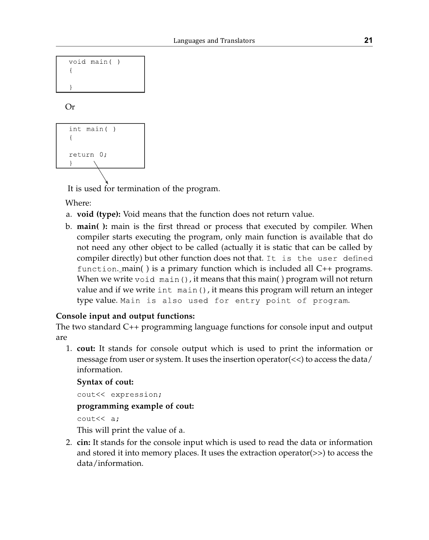|  | void main( |  |
|--|------------|--|
|  |            |  |
|  |            |  |
|  |            |  |

# Or



It is used for termination of the program.

Where:

- a. **void (type):** Void means that the function does not return value.
- b. **main( ):** main is the first thread or process that executed by compiler. When compiler starts executing the program, only main function is available that do not need any other object to be called (actually it is static that can be called by compiler directly) but other function does not that. It is the user defined  $function$  main() is a primary function which is included all  $C++$  programs. When we write  $\text{void } \text{main}()$ , it means that this main() program will not return value and if we write  $int$  main(), it means this program will return an integer type value. Main is also used for entry point of program.

# **Console input and output functions:**

The two standard C++ programming language functions for console input and output are

 1. **cout:** It stands for console output which is used to print the information or message from user or system. It uses the insertion operator( $\lt\lt$ ) to access the data/ information.

#### **Syntax of cout:**

```
cout<< expression;
```
**programming example of cout:**

 $\text{cout} \ll a$ ;

This will print the value of a.

 2. **cin:** It stands for the console input which is used to read the data or information and stored it into memory places. It uses the extraction operator(>>) to access the data/information.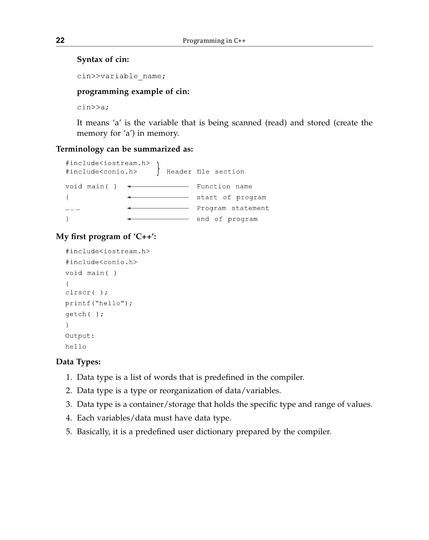#### **Syntax of cin:**

cin>>variable name;

#### **programming example of cin:**

 $\text{cin} \geq \text{a};$ 

It means 'a' is the variable that is being scanned (read) and stored (create the memory for 'a') in memory.

#### **Terminology can be summarized as:**

```
#include<iostream.h>
                    Header file section
#include<conio.h>
void main() \leftarrowFunction name
\left\{ \right.start of program
                       - Program statement
\mathcal{E}end of program
```
# **My first program of 'C++':**

```
#include<iostream.h>
#include<conio.h>
void main()
\left\{ \right.\text{clrscr}(\cdot);
printf("hello");
getch();
\mathcal{L}Output:
hello
```
#### **Data Types:**

- 1. Data type is a list of words that is predefined in the compiler.
- 2. Data type is a type or reorganization of data/variables.
- 3. Data type is a container/storage that holds the specific type and range of values.
- 4. Each variables/data must have data type.
- 5. Basically, it is a predefined user dictionary prepared by the compiler.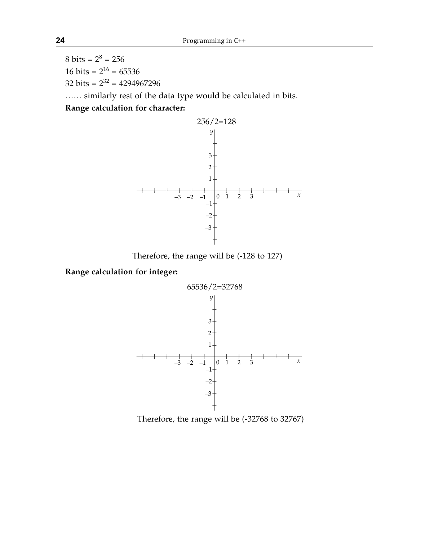8 bits =  $2^8$  = 256 16 bits =  $2^{16}$  = 65536 32 bits =  $2^{32}$  = 4294967296 …… similarly rest of the data type would be calculated in bits.

**Range calculation for character:**



Therefore, the range will be (-128 to 127)

**Range calculation for integer:**



Therefore, the range will be (-32768 to 32767)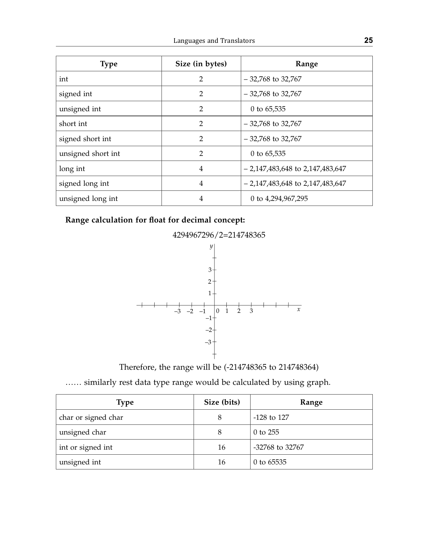| <b>Type</b>        | Size (in bytes) | Range                             |
|--------------------|-----------------|-----------------------------------|
| int                | $\overline{2}$  | $-32,768$ to 32,767               |
| signed int         | $\overline{2}$  | $-32,768$ to 32,767               |
| unsigned int       | $\overline{2}$  | 0 to $65,535$                     |
| short int          | $\overline{2}$  | $-32,768$ to 32,767               |
| signed short int   | $\overline{2}$  | $-32,768$ to 32,767               |
| unsigned short int | $\mathfrak{D}$  | 0 to $65,535$                     |
| long int           | 4               | $-2,147,483,648$ to 2,147,483,647 |
| signed long int    | 4               | $-2,147,483,648$ to 2,147,483,647 |
| unsigned long int  | 4               | 0 to 4,294,967,295                |

#### **Range calculation for float for decimal concept:**



Therefore, the range will be (-214748365 to 214748364)

…… similarly rest data type range would be calculated by using graph.

| Type                | Size (bits) | Range           |
|---------------------|-------------|-----------------|
| char or signed char | 8           | $-128$ to 127   |
| unsigned char       | 8           | $0$ to 255      |
| int or signed int   | 16          | -32768 to 32767 |
| unsigned int        | 16          | 0 to $65535$    |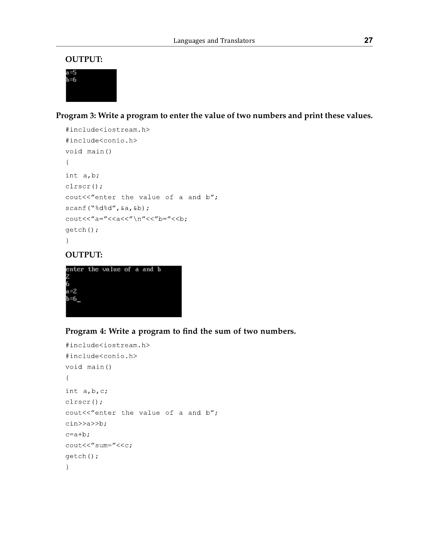#### **OUTPUT:**



**Program 3: Write a program to enter the value of two numbers and print these values.**

```
#include<iostream.h>
#include<conio.h>
void main()
\left\{ \right.int a, b;
\text{clrsc}();cout<<"enter the value of a and b";
scanf ("%d%d", &a, &b);
\text{count}<< \text{``a="<<a<< \text{''}\n'<<\text{''}b="<<b;getch();
\mathcal{E}
```
# **OUTPUT:**



# **Program 4: Write a program to find the sum of two numbers.**

```
#include<iostream.h>
#include<conio.h>
void main()
\{int a, b, c;\text{clrsc}();
cout<<"enter the value of a and b";
\text{cin} \geq \text{a} \geq \text{b};
c=a+b:
\text{cout}<<'' \text{sum}="<<\text{c};
getch();
\mathcal{L}
```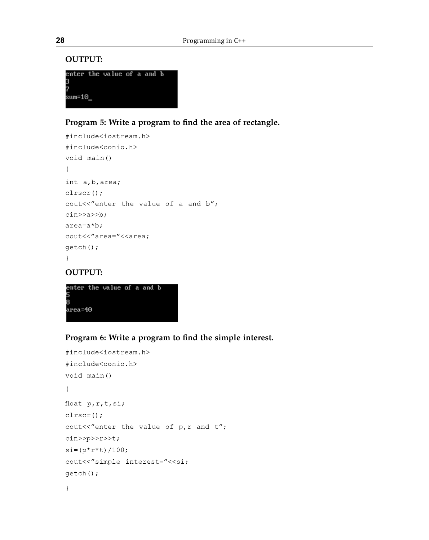#### **OUTPUT:**

|        | enter the value of a and b |  |  |  |
|--------|----------------------------|--|--|--|
| 3      |                            |  |  |  |
| 7      |                            |  |  |  |
| sum=10 |                            |  |  |  |
|        |                            |  |  |  |

# **Program 5: Write a program to find the area of rectangle.**

```
#include<iostream.h>
#include<conio.h>
void main()
\left\{ \right.int a, b, area;
clrscr();
cout<<"enter the value of a and b";
\text{cin} \text{>a} \text{>b};
area=a*b;cout<<"area="<<area;
getch();
\mathcal{E}
```
#### **OUTPUT:**



# **Program 6: Write a program to find the simple interest.**

```
#include<iostream.h>
#include<conio.h>
void main()
\left\{ \right.float p, r, t, si;
\text{clrsc}();
cout<<"enter the value of p, r and t";
\text{cin} \text{>p} \text{>r} \text{>t}si = (p * r * t) / 100;cout<<"simple interest="<<si;
qetch();
\overline{\phantom{a}}
```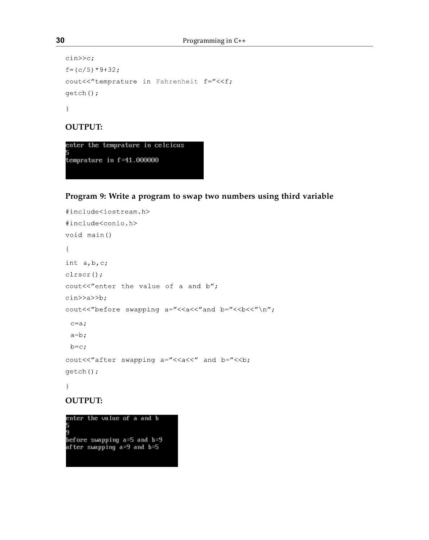```
\text{cin}>>c;f = (c/5) * 9 + 32;cout<<"temprature in Fahrenheit f="<<f;
getch();
\left\{ \right\}
```
# **OUTPUT:**



# **Program 9: Write a program to swap two numbers using third variable**

```
#include<iostream.h>
#include<conio.h>
void main()
\left\{ \right.int a, b, c;clrscr();
cout<<"enter the value of a and b";
\text{cin} \geq \text{a} \geq \text{b};
cout<<"before swapping a="<<a<<"and b="<<br/>b><<"\n";
 c = a;a=b;b=c;cout<<"after swapping a="<<a<<" and b="<<br/>b;
getch();
\left\{ \right.
```
#### **OUTPUT:**

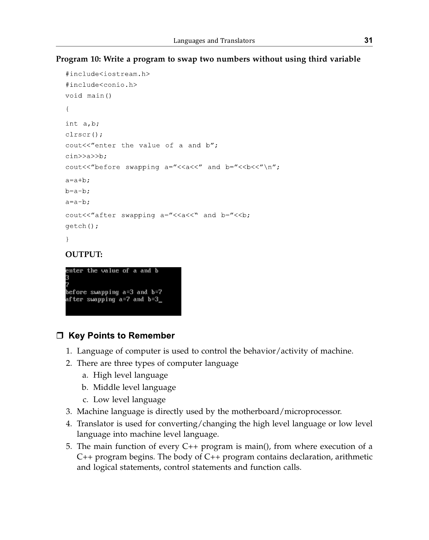### **Program 10: Write a program to swap two numbers without using third variable**

```
#include<iostream.h>
#include<conio.h>
void main()
\left\{ \right.int a, b;
\text{clrscr}();
cout<<"enter the value of a and b";
\text{cin} \geq \text{a} \geq \text{b}cout<<"before swapping a="<<a<<" and b="<<br/>b><<"\n";
a=a+b:
b=a-b:
a=a-b;cout<<"after swapping a="<<a<<" and b="<<br/>b;
qetch();
\mathcal{L}
```
# **OUTPUT:**



# $\Box$  Key Points to Remember

- 1. Language of computer is used to control the behavior/activity of machine.
- 2. There are three types of computer language
	- a. High level language
	- b. Middle level language
	- c. Low level language
- 3. Machine language is directly used by the motherboard/microprocessor.
- 4. Translator is used for converting/changing the high level language or low level language into machine level language.
- 5. The main function of every C++ program is main(), from where execution of a C++ program begins. The body of C++ program contains declaration, arithmetic and logical statements, control statements and function calls.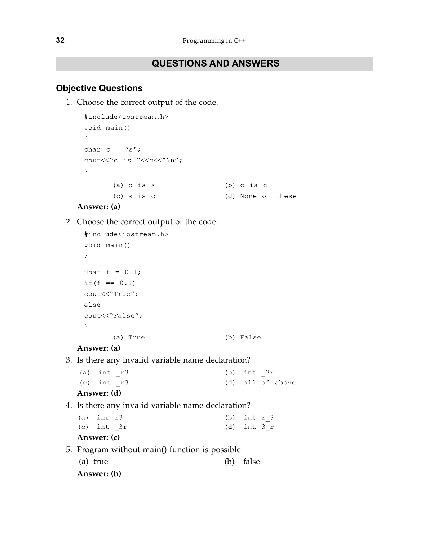# **QUESTIONS AND ANSWERS**

# **Objective Questions**

1. Choose the correct output of the code.

```
#include<iostream.h>
void main()
\left\{ \right.char c = 's';
\text{count}<<\text{"c is "<<c<<" \n}'';
\mathcal{F}(a) c is s(b) c is c
        (c) s is c
                                      (d) None of these
```
# **Answer: (a)**

#### 2. Choose the correct output of the code.

```
#include<iostream.h>
void main()
\left\{ \right.float f = 0.1;
if (f == 0.1)cout<<"True";
else
cout << "False";
\lambda(a) True
                                       (b) False
```
#### **Answer: (a)**

3. Is there any invalid variable name declaration?

| $\lambda$ - - - - - - - (1) |  |  |            |                  |
|-----------------------------|--|--|------------|------------------|
| $(c)$ int $r3$              |  |  |            | (d) all of above |
| $(a)$ int $r3$              |  |  | (b) int 3r |                  |

```
 Answer: (d)
```

```
 4. Is there any invalid variable name declaration?
```

| Answer: (c) |  |  |                |  |
|-------------|--|--|----------------|--|
| (c) int 3r  |  |  | $(d)$ int $3r$ |  |
| (a) inr r3  |  |  | (b) int $r$ 3  |  |

- 5. Program without main() function is possible
	- (a) true (b) false

```
 Answer: (b)
```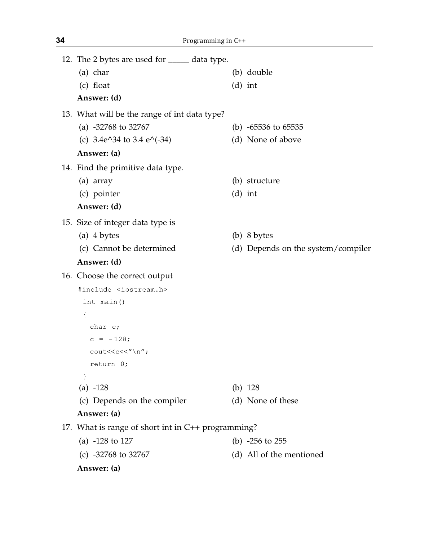| 12. The 2 bytes are used for _____ data type.      |                                    |
|----------------------------------------------------|------------------------------------|
| (a) char                                           | (b) double                         |
| (c) float                                          | $(d)$ int                          |
| Answer: (d)                                        |                                    |
| 13. What will be the range of int data type?       |                                    |
| (a) $-32768$ to 32767                              | (b) $-65536$ to $65535$            |
| (c) $3.4e^{34}$ to $3.4e^{(-34)}$                  | (d) None of above                  |
| Answer: (a)                                        |                                    |
| 14. Find the primitive data type.                  |                                    |
| (a) array                                          | (b) structure                      |
| (c) pointer                                        | $(d)$ int                          |
| Answer: (d)                                        |                                    |
| 15. Size of integer data type is                   |                                    |
| (a) 4 bytes                                        | $(b)$ 8 bytes                      |
| (c) Cannot be determined                           | (d) Depends on the system/compiler |
| Answer: (d)                                        |                                    |
| 16. Choose the correct output                      |                                    |
| #include <iostream.h></iostream.h>                 |                                    |
| int main()                                         |                                    |
| $\{$                                               |                                    |
| char c;                                            |                                    |
| $c = -128;$                                        |                                    |
| cout< <c<<"\n";< td=""><td></td></c<<"\n";<>       |                                    |
| return 0;                                          |                                    |
| $\mathcal{E}$                                      |                                    |
| (a) $-128$                                         | (b) $128$                          |
| (c) Depends on the compiler                        | (d) None of these                  |
| Answer: (a)                                        |                                    |
| 17. What is range of short int in C++ programming? |                                    |
| (a) $-128$ to 127                                  | (b) $-256$ to $255$                |
| (c) $-32768$ to 32767                              | (d) All of the mentioned           |
| Answer: (a)                                        |                                    |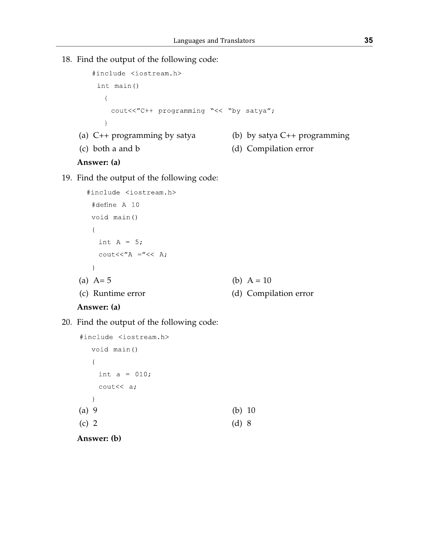18. Find the output of the following code:

```
#include <iostream.h>
    int \text{main}()\{cout<<"C++ programming "<< "by satya";
      \overline{\phantom{a}} (a) C++ programming by satya (b) by satya C++ programming 
 (c) both a and b (d) Compilation error
```
# **Answer: (a)**

#### 19. Find the output of the following code:

```
#include <iostream.h>
   #define A 10
  void main()
  \left\{ \right.int A = 5;
    \text{cout}<<''\text{A} ="<< A;
  \lambda(a) A = 5 (b) A = 10 (c) Runtime error (d) Compilation error
```
#### **Answer: (a)**

#### 20. Find the output of the following code:

```
#include <iostream.h>
      void main()
      \left\{ \right.int a = 010;
       \text{cout}<< a;
      \left\{ \right.(a) 9 (b) 10
(c) 2 (d) 8
```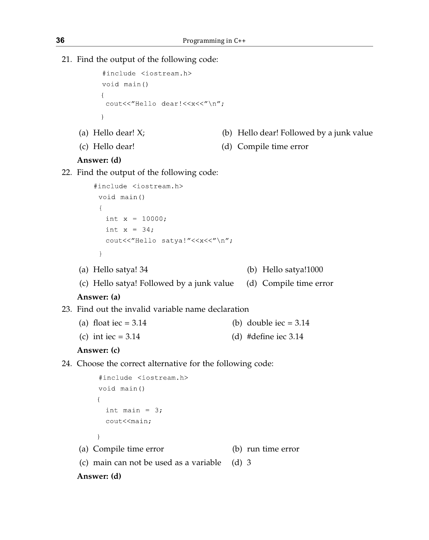21. Find the output of the following code:

```
#include <iostream.h>
void main()
\left\{ \right.cout<<"Hello dear!<<x<<"\n";
\mathcal{F}
```
- 
- (a) Hello dear! X; (b) Hello dear! Followed by a junk value
- 
- (c) Hello dear! (d) Compile time error

#### **Answer: (d)**

#### 22. Find the output of the following code:

```
#include <iostream.h>
 void main()
 \left\{ \right.int x = 10000;int x = 34;
   cout<<"Hello satya!"<<x<<"\n";
 \left\{ \right.
```
(a) Hello satya! 34 (b) Hello satya!1000

(c) Hello satya! Followed by a junk value (d) Compile time error

#### **Answer: (a)**

- 23. Find out the invalid variable name declaration
	- (a) float  $\text{iec} = 3.14$  (b) double  $\text{iec} = 3.14$
	- (c) int iec =  $3.14$  (d) #define iec  $3.14$

#### **Answer: (c)**

24. Choose the correct alternative for the following code:

```
#include <iostream.h>
     void main()
     \left\{ \right.int main = 3;
       cout<<main;
     \mathbf{R} (a) Compile time error (b) run time error
 (c) main can not be used as a variable (d) 3
 Answer: (d)
```